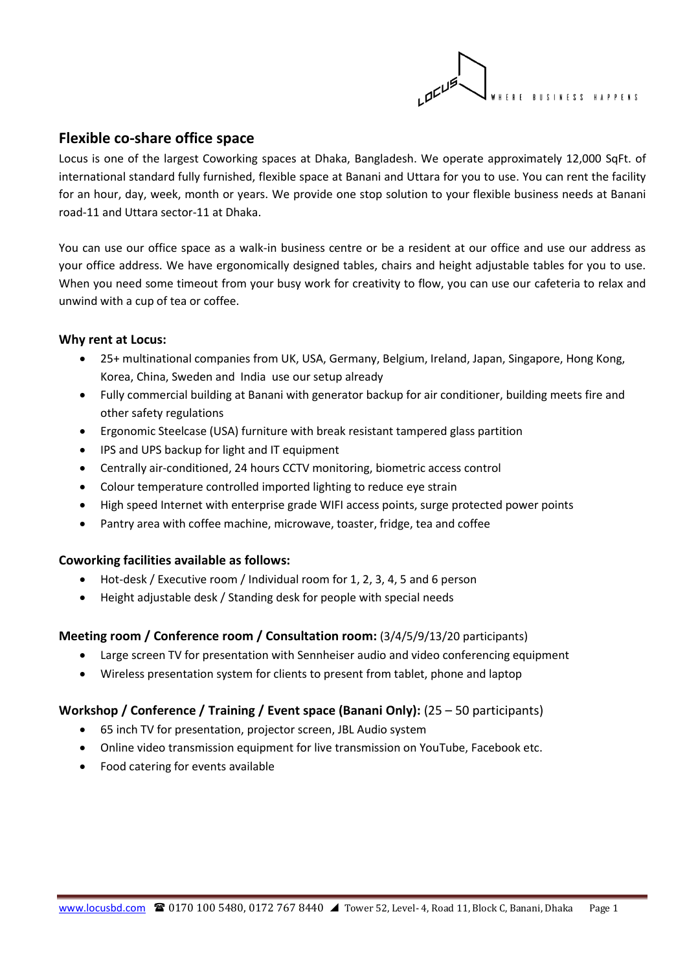

## **Flexible co-share office space**

Locus is one of the largest Coworking spaces at Dhaka, Bangladesh. We operate approximately 12,000 SqFt. of international standard fully furnished, flexible space at Banani and Uttara for you to use. You can rent the facility for an hour, day, week, month or years. We provide one stop solution to your flexible business needs at Banani road-11 and Uttara sector-11 at Dhaka.

You can use our office space as a walk-in business centre or be a resident at our office and use our address as your office address. We have ergonomically designed tables, chairs and height adjustable tables for you to use. When you need some timeout from your busy work for creativity to flow, you can use our cafeteria to relax and unwind with a cup of tea or coffee.

#### **Why rent at Locus:**

- 25+ multinational companies from UK, USA, Germany, Belgium, Ireland, Japan, Singapore, Hong Kong, Korea, China, Sweden and India use our setup already
- Fully commercial building at Banani with generator backup for air conditioner, building meets fire and other safety regulations
- Ergonomic Steelcase (USA) furniture with break resistant tampered glass partition
- IPS and UPS backup for light and IT equipment
- Centrally air-conditioned, 24 hours CCTV monitoring, biometric access control
- Colour temperature controlled imported lighting to reduce eye strain
- High speed Internet with enterprise grade WIFI access points, surge protected power points
- Pantry area with coffee machine, microwave, toaster, fridge, tea and coffee

#### **Coworking facilities available as follows:**

- Hot-desk / Executive room / Individual room for 1, 2, 3, 4, 5 and 6 person
- Height adjustable desk / Standing desk for people with special needs

## **Meeting room / Conference room / Consultation room:** (3/4/5/9/13/20 participants)

- Large screen TV for presentation with Sennheiser audio and video conferencing equipment
- Wireless presentation system for clients to present from tablet, phone and laptop

#### **Workshop / Conference / Training / Event space (Banani Only):** (25 – 50 participants)

- 65 inch TV for presentation, projector screen, JBL Audio system
- Online video transmission equipment for live transmission on YouTube, Facebook etc.
- Food catering for events available